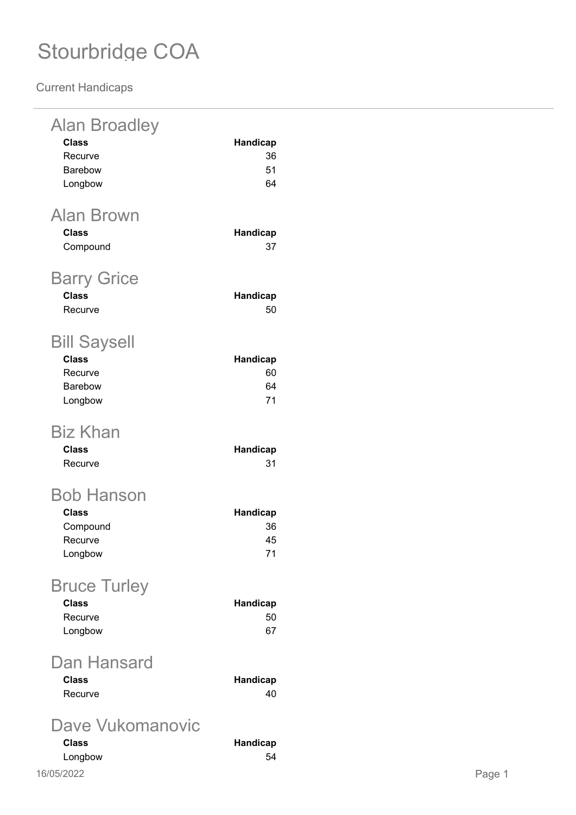| <b>Alan Broadley</b><br><b>Class</b><br>Recurve<br>Barebow<br>Longbow | <b>Handicap</b><br>36<br>51<br>64 |
|-----------------------------------------------------------------------|-----------------------------------|
| <b>Alan Brown</b><br><b>Class</b><br>Compound                         | Handicap<br>37                    |
| <b>Barry Grice</b><br><b>Class</b><br>Recurve                         | Handicap<br>50                    |
| <b>Bill Saysell</b><br><b>Class</b><br>Recurve<br>Barebow<br>Longbow  | Handicap<br>60<br>64<br>71        |
| Biz Khan<br><b>Class</b><br>Recurve                                   | <b>Handicap</b><br>31             |
| Bob Hanson<br><b>Class</b><br>Compound<br>Recurve<br>Longbow          | <b>Handicap</b><br>36<br>45<br>71 |
| <b>Bruce Turley</b><br><b>Class</b><br>Recurve<br>Longbow             | Handicap<br>50<br>67              |
| Dan Hansard<br><b>Class</b><br>Recurve                                | <b>Handicap</b><br>40             |
| Dave Vukomanovic<br><b>Class</b><br>Longbow                           | Handicap<br>54                    |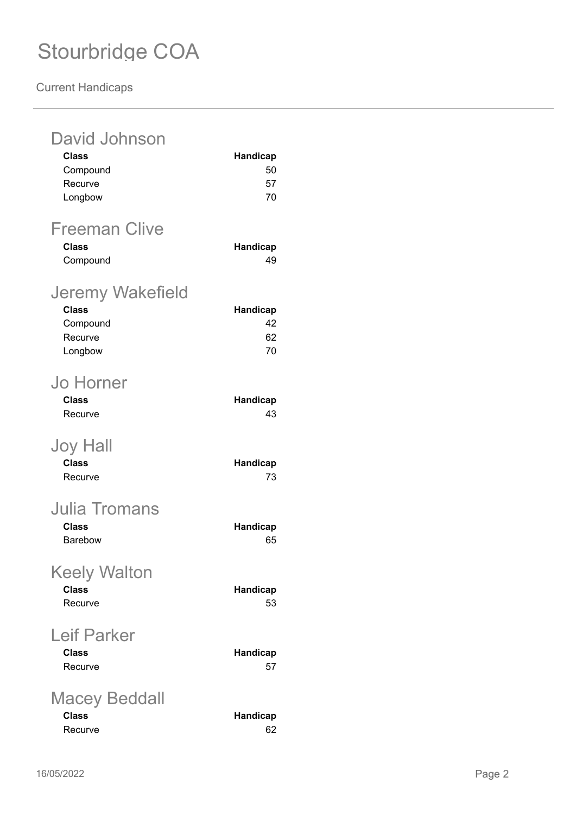| David Johnson<br><b>Class</b><br>Compound<br>Recurve<br>Longbow           | Handicap<br>50<br>57<br>70        |
|---------------------------------------------------------------------------|-----------------------------------|
| <b>Freeman Clive</b><br><b>Class</b><br>Compound                          | Handicap<br>49                    |
| <b>Jeremy Wakefield</b><br><b>Class</b><br>Compound<br>Recurve<br>Longbow | <b>Handicap</b><br>42<br>62<br>70 |
| <b>Jo Horner</b><br><b>Class</b><br>Recurve                               | Handicap<br>43                    |
| Joy Hall<br><b>Class</b><br>Recurve                                       | Handicap<br>73                    |
| <b>Julia Tromans</b><br><b>Class</b><br><b>Barebow</b>                    | Handicap<br>65                    |
| <b>Keely Walton</b><br><b>Class</b><br>Recurve                            | Handicap<br>53                    |
| <b>Leif Parker</b><br><b>Class</b><br>Recurve                             | <b>Handicap</b><br>57             |
| <b>Macey Beddall</b><br><b>Class</b><br>Recurve                           | Handicap<br>62                    |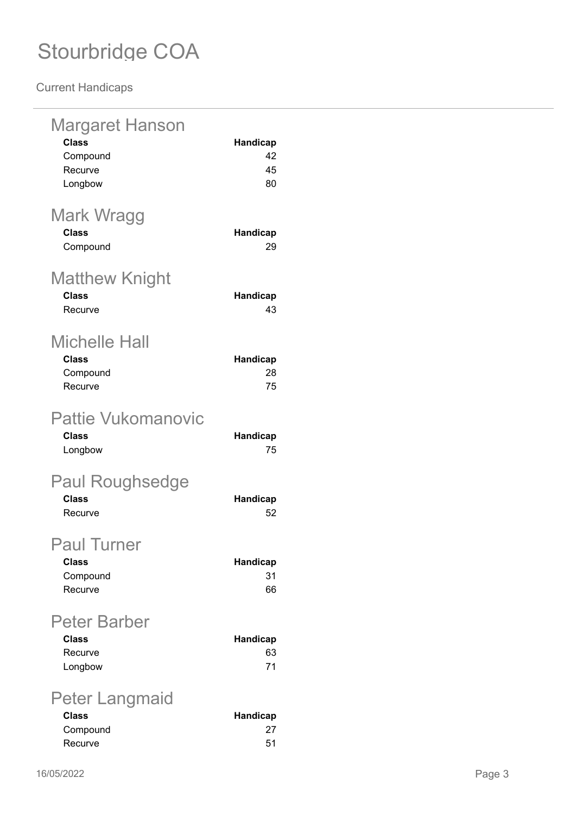| Margaret Hanson<br><b>Class</b><br>Compound<br>Recurve<br>Longbow | <b>Handicap</b><br>42<br>45<br>80 |
|-------------------------------------------------------------------|-----------------------------------|
| Mark Wragg<br><b>Class</b><br>Compound                            | <b>Handicap</b><br>29             |
| Matthew Knight<br><b>Class</b><br>Recurve                         | Handicap<br>43                    |
| Michelle Hall<br><b>Class</b><br>Compound<br>Recurve              | <b>Handicap</b><br>28<br>75       |
| <b>Pattie Vukomanovic</b><br>Class<br>Longbow                     | Handicap<br>75                    |
| <b>Paul Roughsedge</b><br><b>Class</b><br>Recurve                 | Handicap<br>52                    |
| <b>Paul Turner</b><br><b>Class</b><br>Compound<br>Recurve         | Handicap<br>31<br>66              |
| <b>Peter Barber</b><br><b>Class</b><br>Recurve<br>Longbow         | <b>Handicap</b><br>63<br>71       |
| Peter Langmaid<br><b>Class</b><br>Compound<br>Recurve             | <b>Handicap</b><br>27<br>51       |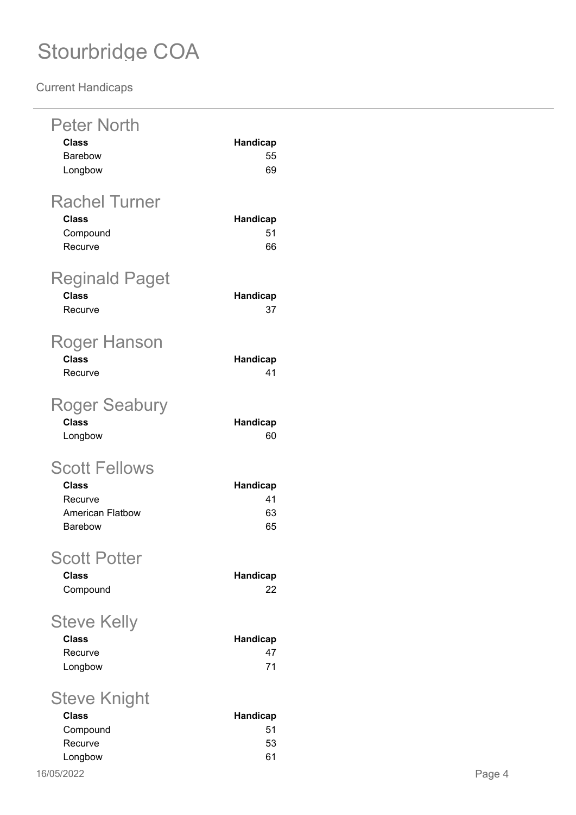| <b>Peter North</b><br><b>Class</b><br>Barebow<br>Longbow                       | Handicap<br>55<br>69              |
|--------------------------------------------------------------------------------|-----------------------------------|
| <b>Rachel Turner</b><br><b>Class</b><br>Compound<br>Recurve                    | <b>Handicap</b><br>51<br>66       |
| <b>Reginald Paget</b><br><b>Class</b><br>Recurve                               | <b>Handicap</b><br>37             |
| Roger Hanson<br>Class<br>Recurve                                               | <b>Handicap</b><br>41             |
| <b>Roger Seabury</b><br><b>Class</b><br>Longbow                                | <b>Handicap</b><br>60             |
| <b>Scott Fellows</b><br><b>Class</b><br>Recurve<br>American Flatbow<br>Barebow | <b>Handicap</b><br>41<br>63<br>65 |
| <b>Scott Potter</b><br><b>Class</b><br>Compound                                | Handicap<br>22                    |
| <b>Steve Kelly</b><br><b>Class</b><br>Recurve<br>Longbow                       | <b>Handicap</b><br>47<br>71       |
| Steve Knight<br><b>Class</b><br>Compound<br>Recurve<br>Longbow                 | <b>Handicap</b><br>51<br>53<br>61 |